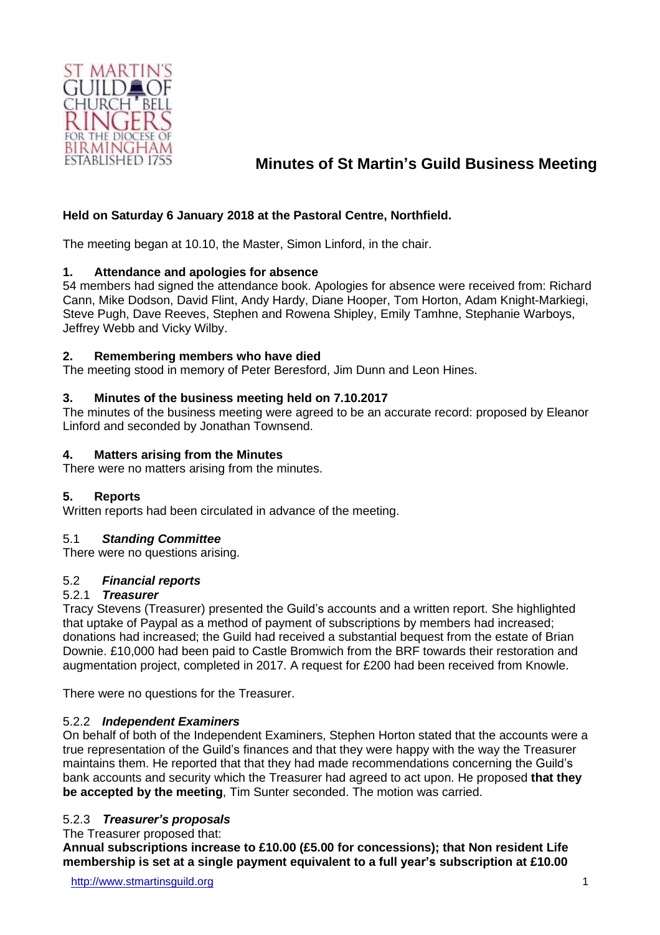

## **Minutes of St Martin's Guild Business Meeting**

### **Held on Saturday 6 January 2018 at the Pastoral Centre, Northfield.**

The meeting began at 10.10, the Master, Simon Linford, in the chair.

#### **1. Attendance and apologies for absence**

54 members had signed the attendance book. Apologies for absence were received from: Richard Cann, Mike Dodson, David Flint, Andy Hardy, Diane Hooper, Tom Horton, Adam Knight-Markiegi, Steve Pugh, Dave Reeves, Stephen and Rowena Shipley, Emily Tamhne, Stephanie Warboys, Jeffrey Webb and Vicky Wilby.

#### **2. Remembering members who have died**

The meeting stood in memory of Peter Beresford, Jim Dunn and Leon Hines.

#### **3. Minutes of the business meeting held on 7.10.2017**

The minutes of the business meeting were agreed to be an accurate record: proposed by Eleanor Linford and seconded by Jonathan Townsend.

#### **4. Matters arising from the Minutes**

There were no matters arising from the minutes.

#### **5. Reports**

Written reports had been circulated in advance of the meeting.

#### 5.1 *Standing Committee*

There were no questions arising.

#### 5.2 *Financial reports*

#### 5.2.1 *Treasurer*

Tracy Stevens (Treasurer) presented the Guild's accounts and a written report. She highlighted that uptake of Paypal as a method of payment of subscriptions by members had increased; donations had increased; the Guild had received a substantial bequest from the estate of Brian Downie. £10,000 had been paid to Castle Bromwich from the BRF towards their restoration and augmentation project, completed in 2017. A request for £200 had been received from Knowle.

There were no questions for the Treasurer.

#### 5.2.2 *Independent Examiners*

On behalf of both of the Independent Examiners, Stephen Horton stated that the accounts were a true representation of the Guild's finances and that they were happy with the way the Treasurer maintains them. He reported that that they had made recommendations concerning the Guild's bank accounts and security which the Treasurer had agreed to act upon. He proposed **that they be accepted by the meeting**, Tim Sunter seconded. The motion was carried.

#### 5.2.3 *Treasurer's proposals*

#### The Treasurer proposed that:

**Annual subscriptions increase to £10.00 (£5.00 for concessions); that Non resident Life membership is set at a single payment equivalent to a full year's subscription at £10.00**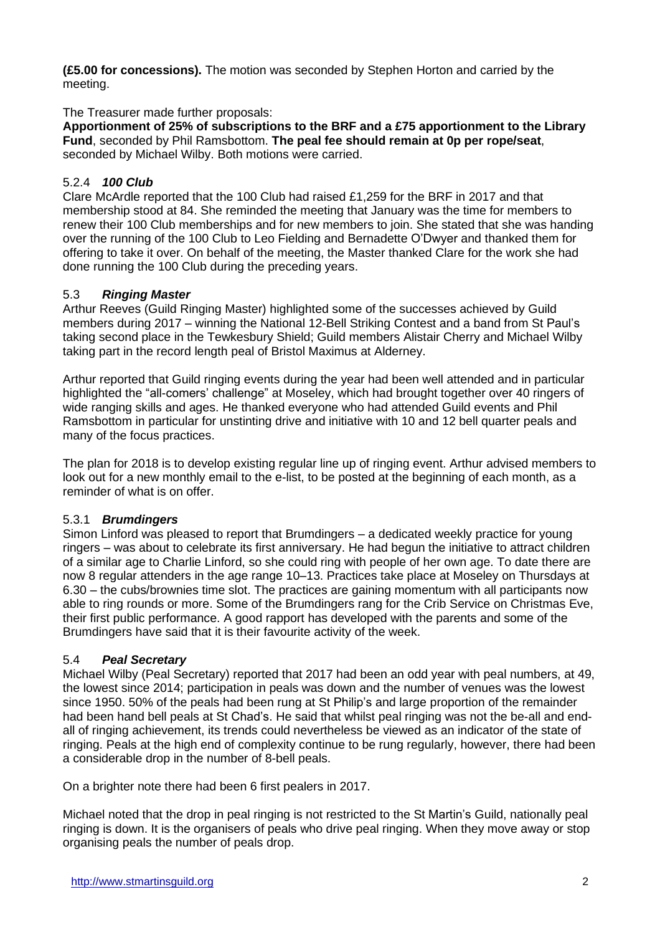**(£5.00 for concessions).** The motion was seconded by Stephen Horton and carried by the meeting.

### The Treasurer made further proposals:

**Apportionment of 25% of subscriptions to the BRF and a £75 apportionment to the Library Fund**, seconded by Phil Ramsbottom. **The peal fee should remain at 0p per rope/seat**, seconded by Michael Wilby. Both motions were carried.

### 5.2.4 *100 Club*

Clare McArdle reported that the 100 Club had raised £1,259 for the BRF in 2017 and that membership stood at 84. She reminded the meeting that January was the time for members to renew their 100 Club memberships and for new members to join. She stated that she was handing over the running of the 100 Club to Leo Fielding and Bernadette O'Dwyer and thanked them for offering to take it over. On behalf of the meeting, the Master thanked Clare for the work she had done running the 100 Club during the preceding years.

### 5.3 *Ringing Master*

Arthur Reeves (Guild Ringing Master) highlighted some of the successes achieved by Guild members during 2017 – winning the National 12-Bell Striking Contest and a band from St Paul's taking second place in the Tewkesbury Shield; Guild members Alistair Cherry and Michael Wilby taking part in the record length peal of Bristol Maximus at Alderney.

Arthur reported that Guild ringing events during the year had been well attended and in particular highlighted the "all-comers' challenge" at Moseley, which had brought together over 40 ringers of wide ranging skills and ages. He thanked everyone who had attended Guild events and Phil Ramsbottom in particular for unstinting drive and initiative with 10 and 12 bell quarter peals and many of the focus practices.

The plan for 2018 is to develop existing regular line up of ringing event. Arthur advised members to look out for a new monthly email to the e-list, to be posted at the beginning of each month, as a reminder of what is on offer.

#### 5.3.1 *Brumdingers*

Simon Linford was pleased to report that Brumdingers – a dedicated weekly practice for young ringers – was about to celebrate its first anniversary. He had begun the initiative to attract children of a similar age to Charlie Linford, so she could ring with people of her own age. To date there are now 8 regular attenders in the age range 10–13. Practices take place at Moseley on Thursdays at 6.30 – the cubs/brownies time slot. The practices are gaining momentum with all participants now able to ring rounds or more. Some of the Brumdingers rang for the Crib Service on Christmas Eve, their first public performance. A good rapport has developed with the parents and some of the Brumdingers have said that it is their favourite activity of the week.

## 5.4 *Peal Secretary*

Michael Wilby (Peal Secretary) reported that 2017 had been an odd year with peal numbers, at 49, the lowest since 2014; participation in peals was down and the number of venues was the lowest since 1950. 50% of the peals had been rung at St Philip's and large proportion of the remainder had been hand bell peals at St Chad's. He said that whilst peal ringing was not the be-all and endall of ringing achievement, its trends could nevertheless be viewed as an indicator of the state of ringing. Peals at the high end of complexity continue to be rung regularly, however, there had been a considerable drop in the number of 8-bell peals.

On a brighter note there had been 6 first pealers in 2017.

Michael noted that the drop in peal ringing is not restricted to the St Martin's Guild, nationally peal ringing is down. It is the organisers of peals who drive peal ringing. When they move away or stop organising peals the number of peals drop.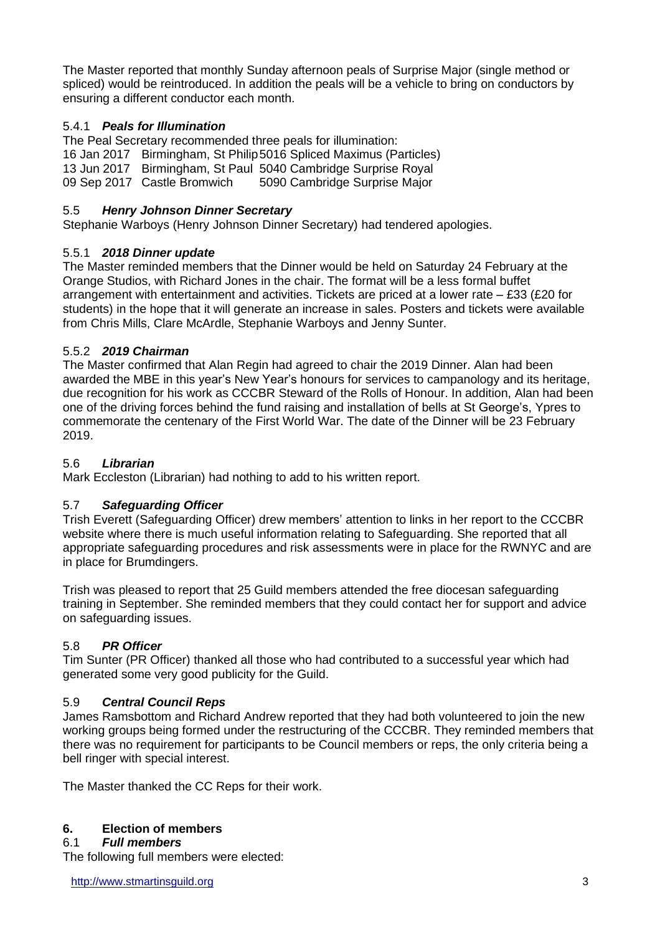The Master reported that monthly Sunday afternoon peals of Surprise Major (single method or spliced) would be reintroduced. In addition the peals will be a vehicle to bring on conductors by ensuring a different conductor each month.

## 5.4.1 *Peals for Illumination*

The Peal Secretary recommended three peals for illumination: 16 Jan 2017 Birmingham, St Philip5016 Spliced Maximus (Particles) 13 Jun 2017 Birmingham, St Paul 5040 Cambridge Surprise Royal<br>09 Sep 2017 Castle Bromwich 5090 Cambridge Surprise Major 5090 Cambridge Surprise Major

## 5.5 *Henry Johnson Dinner Secretary*

Stephanie Warboys (Henry Johnson Dinner Secretary) had tendered apologies.

## 5.5.1 *2018 Dinner update*

The Master reminded members that the Dinner would be held on Saturday 24 February at the Orange Studios, with Richard Jones in the chair. The format will be a less formal buffet arrangement with entertainment and activities. Tickets are priced at a lower rate – £33 (£20 for students) in the hope that it will generate an increase in sales. Posters and tickets were available from Chris Mills, Clare McArdle, Stephanie Warboys and Jenny Sunter.

## 5.5.2 *2019 Chairman*

The Master confirmed that Alan Regin had agreed to chair the 2019 Dinner. Alan had been awarded the MBE in this year's New Year's honours for services to campanology and its heritage, due recognition for his work as CCCBR Steward of the Rolls of Honour. In addition, Alan had been one of the driving forces behind the fund raising and installation of bells at St George's, Ypres to commemorate the centenary of the First World War. The date of the Dinner will be 23 February 2019.

## 5.6 *Librarian*

Mark Eccleston (Librarian) had nothing to add to his written report.

## 5.7 *Safeguarding Officer*

Trish Everett (Safeguarding Officer) drew members' attention to links in her report to the CCCBR website where there is much useful information relating to Safeguarding. She reported that all appropriate safeguarding procedures and risk assessments were in place for the RWNYC and are in place for Brumdingers.

Trish was pleased to report that 25 Guild members attended the free diocesan safeguarding training in September. She reminded members that they could contact her for support and advice on safeguarding issues.

## 5.8 *PR Officer*

Tim Sunter (PR Officer) thanked all those who had contributed to a successful year which had generated some very good publicity for the Guild.

## 5.9 *Central Council Reps*

James Ramsbottom and Richard Andrew reported that they had both volunteered to join the new working groups being formed under the restructuring of the CCCBR. They reminded members that there was no requirement for participants to be Council members or reps, the only criteria being a bell ringer with special interest.

The Master thanked the CC Reps for their work.

## **6. Election of members**

#### 6.1 *Full members*

The following full members were elected: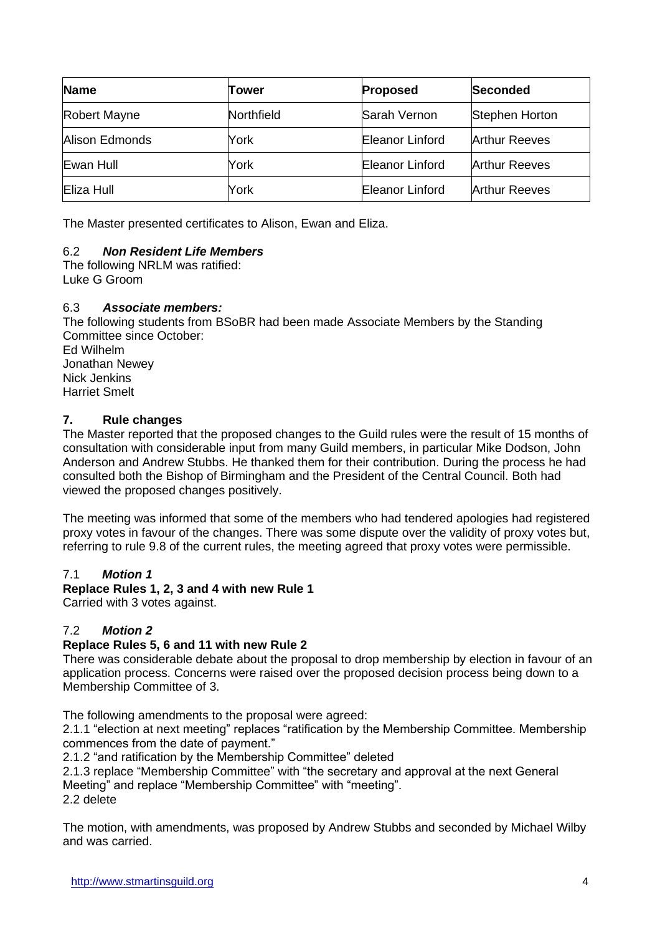| <b>Name</b>    | Tower      | <b>Proposed</b> | Seconded             |
|----------------|------------|-----------------|----------------------|
| Robert Mayne   | Northfield | Sarah Vernon    | Stephen Horton       |
| Alison Edmonds | York       | Eleanor Linford | <b>Arthur Reeves</b> |
| Ewan Hull      | York       | Eleanor Linford | <b>Arthur Reeves</b> |
| Eliza Hull     | York       | Eleanor Linford | <b>Arthur Reeves</b> |

The Master presented certificates to Alison, Ewan and Eliza.

### 6.2 *Non Resident Life Members*

The following NRLM was ratified: Luke G Groom

#### 6.3 *Associate members:*

The following students from BSoBR had been made Associate Members by the Standing Committee since October: Ed Wilhelm Jonathan Newey Nick Jenkins Harriet Smelt

### **7. Rule changes**

The Master reported that the proposed changes to the Guild rules were the result of 15 months of consultation with considerable input from many Guild members, in particular Mike Dodson, John Anderson and Andrew Stubbs. He thanked them for their contribution. During the process he had consulted both the Bishop of Birmingham and the President of the Central Council. Both had viewed the proposed changes positively.

The meeting was informed that some of the members who had tendered apologies had registered proxy votes in favour of the changes. There was some dispute over the validity of proxy votes but, referring to rule 9.8 of the current rules, the meeting agreed that proxy votes were permissible.

#### 7.1 *Motion 1*

#### **Replace Rules 1, 2, 3 and 4 with new Rule 1**

Carried with 3 votes against.

#### 7.2 *Motion 2*

#### **Replace Rules 5, 6 and 11 with new Rule 2**

There was considerable debate about the proposal to drop membership by election in favour of an application process. Concerns were raised over the proposed decision process being down to a Membership Committee of 3.

The following amendments to the proposal were agreed:

2.1.1 "election at next meeting" replaces "ratification by the Membership Committee. Membership commences from the date of payment."

2.1.2 "and ratification by the Membership Committee" deleted

2.1.3 replace "Membership Committee" with "the secretary and approval at the next General Meeting" and replace "Membership Committee" with "meeting". 2.2 delete

The motion, with amendments, was proposed by Andrew Stubbs and seconded by Michael Wilby and was carried.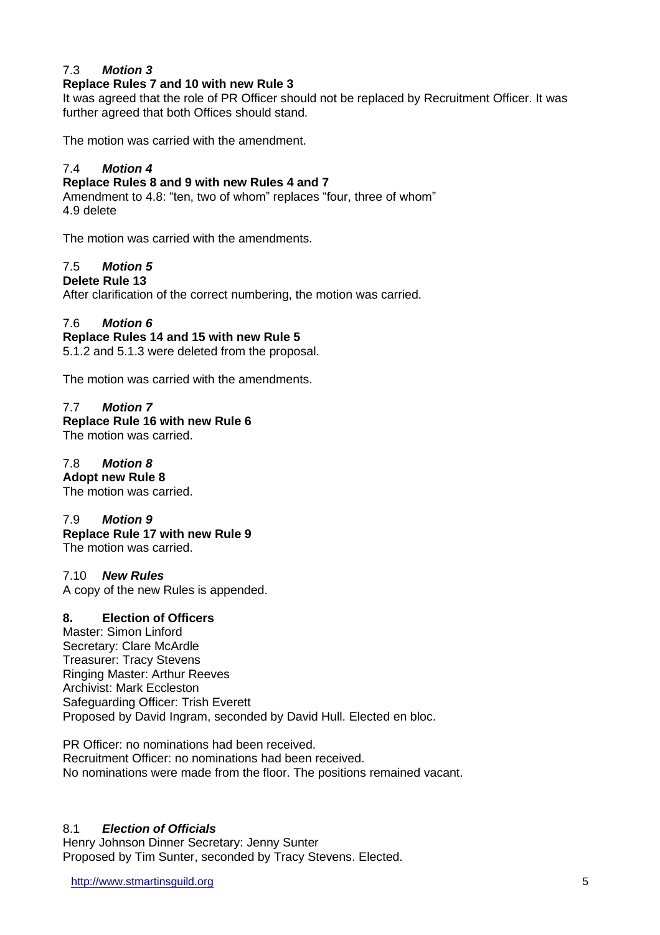## 7.3 *Motion 3*

#### **Replace Rules 7 and 10 with new Rule 3**

It was agreed that the role of PR Officer should not be replaced by Recruitment Officer. It was further agreed that both Offices should stand.

The motion was carried with the amendment.

#### 7.4 *Motion 4*

#### **Replace Rules 8 and 9 with new Rules 4 and 7**

Amendment to 4.8: "ten, two of whom" replaces "four, three of whom" 4.9 delete

The motion was carried with the amendments.

## 7.5 *Motion 5*

#### **Delete Rule 13**

After clarification of the correct numbering, the motion was carried.

#### 7.6 *Motion 6*

## **Replace Rules 14 and 15 with new Rule 5**

5.1.2 and 5.1.3 were deleted from the proposal.

The motion was carried with the amendments.

### 7.7 *Motion 7*

## **Replace Rule 16 with new Rule 6**

The motion was carried.

#### 7.8 *Motion 8*

**Adopt new Rule 8** The motion was carried.

#### 7.9 *Motion 9*

**Replace Rule 17 with new Rule 9** The motion was carried.

#### 7.10 *New Rules*

A copy of the new Rules is appended.

#### **8. Election of Officers**

Master: Simon Linford Secretary: Clare McArdle Treasurer: Tracy Stevens Ringing Master: Arthur Reeves Archivist: Mark Eccleston Safeguarding Officer: Trish Everett Proposed by David Ingram, seconded by David Hull. Elected en bloc.

PR Officer: no nominations had been received. Recruitment Officer: no nominations had been received. No nominations were made from the floor. The positions remained vacant.

#### 8.1 *Election of Officials*

Henry Johnson Dinner Secretary: Jenny Sunter Proposed by Tim Sunter, seconded by Tracy Stevens. Elected.